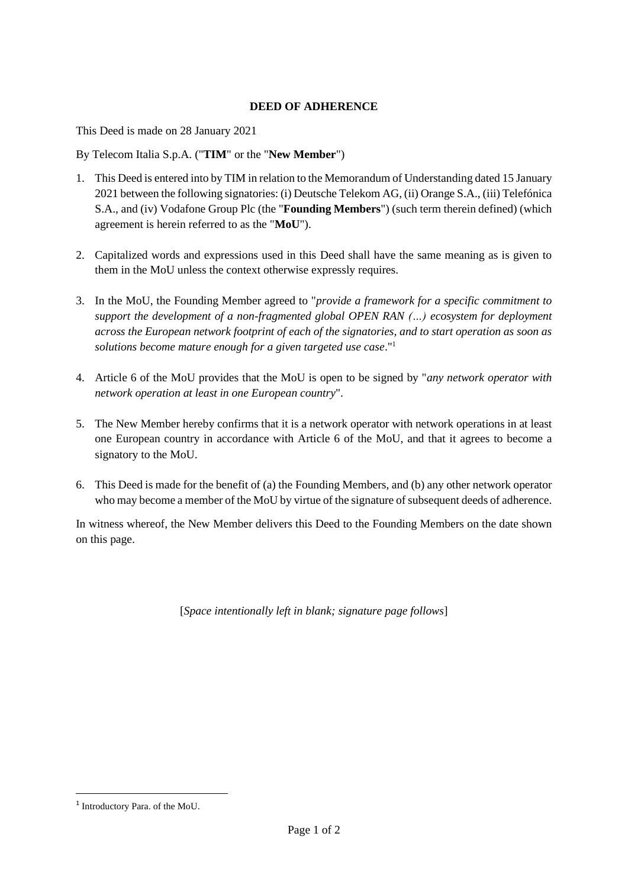## **DEED OF ADHERENCE**

This Deed is made on 28 January 2021

By Telecom Italia S.p.A. ("**TIM**" or the "**New Member**")

- 1. This Deed is entered into by TIM in relation to the Memorandum of Understanding dated 15 January 2021 between the following signatories: (i) Deutsche Telekom AG, (ii) Orange S.A., (iii) Telefónica S.A., and (iv) Vodafone Group Plc (the "**Founding Members**") (such term therein defined) (which agreement is herein referred to as the "**MoU**").
- 2. Capitalized words and expressions used in this Deed shall have the same meaning as is given to them in the MoU unless the context otherwise expressly requires.
- 3. In the MoU, the Founding Member agreed to "*provide a framework for a specific commitment to support the development of a non-fragmented global OPEN RAN (…) ecosystem for deployment across the European network footprint of each of the signatories, and to start operation as soon as solutions become mature enough for a given targeted use case*." 1
- 4. Article 6 of the MoU provides that the MoU is open to be signed by "*any network operator with network operation at least in one European country*".
- 5. The New Member hereby confirms that it is a network operator with network operations in at least one European country in accordance with Article 6 of the MoU, and that it agrees to become a signatory to the MoU.
- 6. This Deed is made for the benefit of (a) the Founding Members, and (b) any other network operator who may become a member of the MoU by virtue of the signature of subsequent deeds of adherence.

In witness whereof, the New Member delivers this Deed to the Founding Members on the date shown on this page.

[*Space intentionally left in blank; signature page follows*]

<sup>1</sup> Introductory Para. of the MoU.